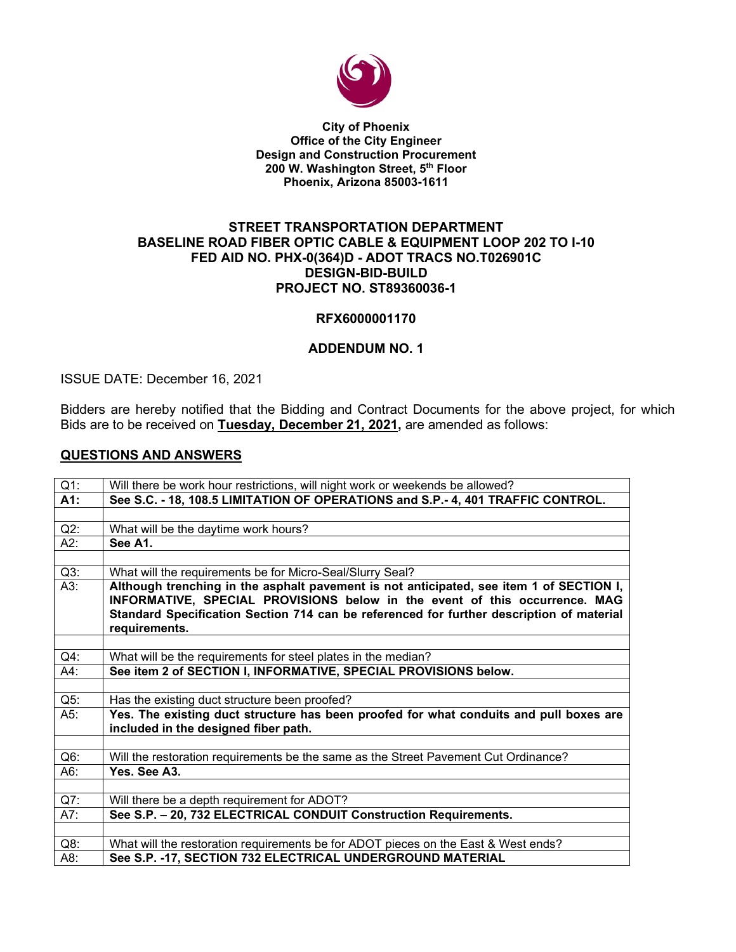

#### **City of Phoenix Office of the City Engineer Design and Construction Procurement 200 W. Washington Street, 5th Floor Phoenix, Arizona 85003-1611**

### **STREET TRANSPORTATION DEPARTMENT BASELINE ROAD FIBER OPTIC CABLE & EQUIPMENT LOOP 202 TO I-10 FED AID NO. PHX-0(364)D - ADOT TRACS NO.T026901C DESIGN-BID-BUILD PROJECT NO. ST89360036-1**

# **RFX6000001170**

# **ADDENDUM NO. 1**

# ISSUE DATE: December 16, 2021

Bidders are hereby notified that the Bidding and Contract Documents for the above project, for which Bids are to be received on **Tuesday, December 21, 2021,** are amended as follows:

# **QUESTIONS AND ANSWERS**

| $Q1$ : | Will there be work hour restrictions, will night work or weekends be allowed?                                                                                                                                                                                                      |  |  |  |
|--------|------------------------------------------------------------------------------------------------------------------------------------------------------------------------------------------------------------------------------------------------------------------------------------|--|--|--|
| A1:    | See S.C. - 18, 108.5 LIMITATION OF OPERATIONS and S.P.- 4, 401 TRAFFIC CONTROL.                                                                                                                                                                                                    |  |  |  |
|        |                                                                                                                                                                                                                                                                                    |  |  |  |
| $Q2$ : | What will be the daytime work hours?                                                                                                                                                                                                                                               |  |  |  |
| A2:    | See A1.                                                                                                                                                                                                                                                                            |  |  |  |
|        |                                                                                                                                                                                                                                                                                    |  |  |  |
| $Q3$ : | What will the requirements be for Micro-Seal/Slurry Seal?                                                                                                                                                                                                                          |  |  |  |
| A3:    | Although trenching in the asphalt pavement is not anticipated, see item 1 of SECTION I,<br>INFORMATIVE, SPECIAL PROVISIONS below in the event of this occurrence. MAG<br>Standard Specification Section 714 can be referenced for further description of material<br>requirements. |  |  |  |
|        |                                                                                                                                                                                                                                                                                    |  |  |  |
| $Q4$ : | What will be the requirements for steel plates in the median?                                                                                                                                                                                                                      |  |  |  |
| A4:    | See item 2 of SECTION I, INFORMATIVE, SPECIAL PROVISIONS below.                                                                                                                                                                                                                    |  |  |  |
|        |                                                                                                                                                                                                                                                                                    |  |  |  |
| $Q5$ : | Has the existing duct structure been proofed?                                                                                                                                                                                                                                      |  |  |  |
| A5:    | Yes. The existing duct structure has been proofed for what conduits and pull boxes are<br>included in the designed fiber path.                                                                                                                                                     |  |  |  |
|        |                                                                                                                                                                                                                                                                                    |  |  |  |
| $Q6$ : | Will the restoration requirements be the same as the Street Pavement Cut Ordinance?                                                                                                                                                                                                |  |  |  |
| A6:    | Yes. See A3.                                                                                                                                                                                                                                                                       |  |  |  |
|        |                                                                                                                                                                                                                                                                                    |  |  |  |
| $Q7$ : | Will there be a depth requirement for ADOT?                                                                                                                                                                                                                                        |  |  |  |
| A7:    | See S.P. - 20, 732 ELECTRICAL CONDUIT Construction Requirements.                                                                                                                                                                                                                   |  |  |  |
|        |                                                                                                                                                                                                                                                                                    |  |  |  |
| $Q8$ : | What will the restoration requirements be for ADOT pieces on the East & West ends?                                                                                                                                                                                                 |  |  |  |
| A8:    | See S.P. -17, SECTION 732 ELECTRICAL UNDERGROUND MATERIAL                                                                                                                                                                                                                          |  |  |  |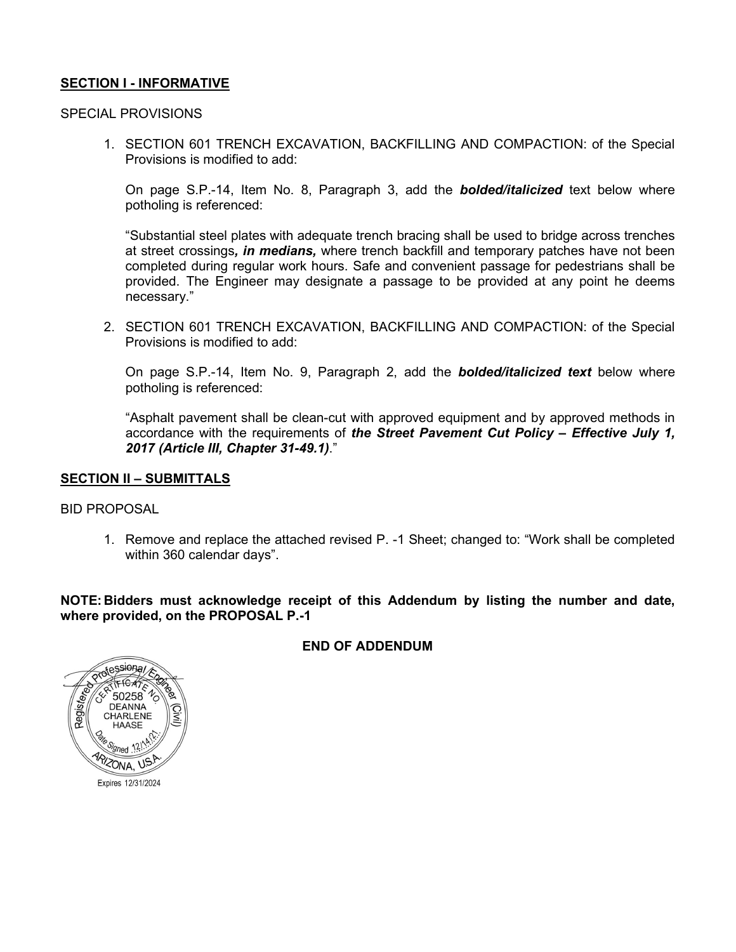# **SECTION I - INFORMATIVE**

### SPECIAL PROVISIONS

1. SECTION 601 TRENCH EXCAVATION, BACKFILLING AND COMPACTION: of the Special Provisions is modified to add:

On page S.P.-14, Item No. 8, Paragraph 3, add the *bolded/italicized* text below where potholing is referenced:

"Substantial steel plates with adequate trench bracing shall be used to bridge across trenches at street crossings*, in medians,* where trench backfill and temporary patches have not been completed during regular work hours. Safe and convenient passage for pedestrians shall be provided. The Engineer may designate a passage to be provided at any point he deems necessary."

2. SECTION 601 TRENCH EXCAVATION, BACKFILLING AND COMPACTION: of the Special Provisions is modified to add:

On page S.P.-14, Item No. 9, Paragraph 2, add the *bolded/italicized text* below where potholing is referenced:

"Asphalt pavement shall be clean-cut with approved equipment and by approved methods in accordance with the requirements of *the Street Pavement Cut Policy – Effective July 1, 2017 (Article III, Chapter 31-49.1)*."

### **SECTION II – SUBMITTALS**

BID PROPOSAL

1. Remove and replace the attached revised P. -1 Sheet; changed to: "Work shall be completed within 360 calendar days".

**NOTE: Bidders must acknowledge receipt of this Addendum by listing the number and date, where provided, on the PROPOSAL P.-1**

# **END OF ADDENDUM**